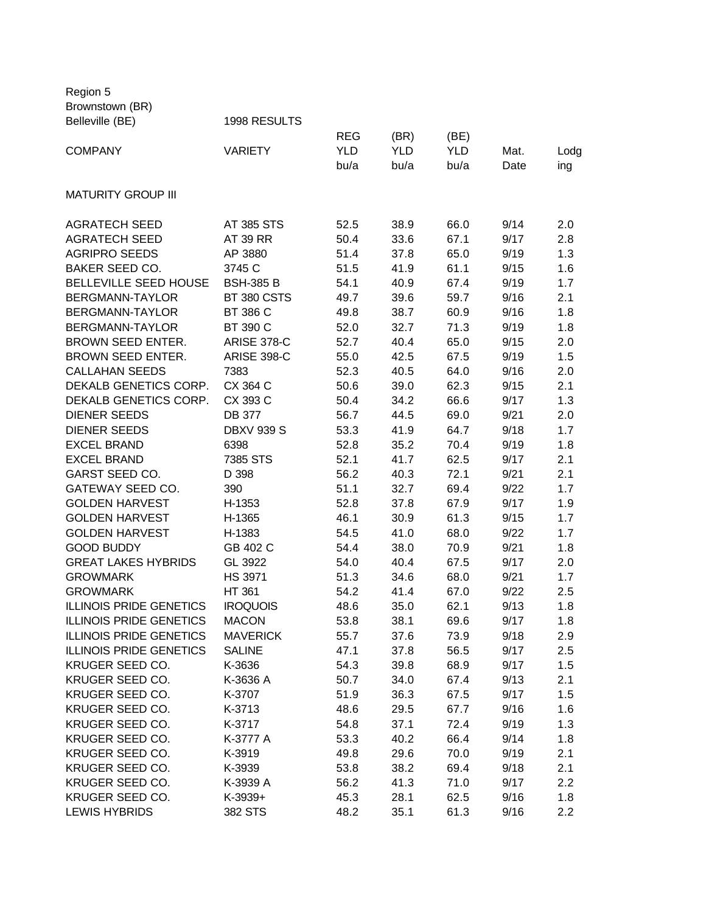Region 5 Brownstown (BR) Belleville (BE) 1998 RESULTS REG (BR) (BE) COMPANY VARIETY YLD YLD YLD Mat. Lodg bu/a bu/a bu/a Date ing MATURITY GROUP III AGRATECH SEED AT 385 STS 52.5 38.9 66.0 9/14 2.0 AGRATECH SEED AT 39 RR 50.4 33.6 67.1 9/17 2.8 AGRIPRO SEEDS AP 3880 51.4 37.8 65.0 9/19 1.3 BAKER SEED CO. 3745 C 51.5 41.9 61.1 9/15 1.6 BELLEVILLE SEED HOUSE BSH-385 B 54.1 40.9 67.4 9/19 1.7 BERGMANN-TAYLOR BT 380 CSTS 49.7 39.6 59.7 9/16 2.1 BERGMANN-TAYLOR BT 386 C 49.8 38.7 60.9 9/16 1.8 BERGMANN-TAYLOR BT 390 C 52.0 32.7 71.3 9/19 1.8 BROWN SEED ENTER. ARISE 378-C 52.7 40.4 65.0 9/15 2.0 BROWN SEED ENTER. ARISE 398-C 55.0 42.5 67.5 9/19 1.5 CALLAHAN SEEDS 7383 52.3 40.5 64.0 9/16 2.0 DEKALB GENETICS CORP. CX 364 C 50.6 39.0 62.3 9/15 2.1 DEKALB GENETICS CORP. CX 393 C 50.4 34.2 66.6 9/17 1.3 DIENER SEEDS DB 377 56.7 44.5 69.0 9/21 2.0 DIENER SEEDS DBXV 939 S 53.3 41.9 64.7 9/18 1.7 EXCEL BRAND 6398 52.8 35.2 70.4 9/19 1.8 EXCEL BRAND 7385 STS 52.1 41.7 62.5 9/17 2.1 GARST SEED CO. [20] D 398 56.2 40.3 72.1 9/21 2.1 GATEWAY SEED CO. 390 51.1 32.7 69.4 9/22 1.7 GOLDEN HARVEST H-1353 52.8 37.8 67.9 9/17 1.9 GOLDEN HARVEST H-1365 46.1 30.9 61.3 9/15 1.7 GOLDEN HARVEST H-1383 54.5 41.0 68.0 9/22 1.7 GOOD BUDDY GB 402 C 54.4 38.0 70.9 9/21 1.8 GREAT LAKES HYBRIDS GL 3922 54.0 40.4 67.5 9/17 2.0 GROWMARK HS 3971 51.3 34.6 68.0 9/21 1.7 GROWMARK HT 361 54.2 41.4 67.0 9/22 2.5 ILLINOIS PRIDE GENETICS IROQUOIS 48.6 35.0 62.1 9/13 1.8 ILLINOIS PRIDE GENETICS MACON 53.8 38.1 69.6 9/17 1.8 ILLINOIS PRIDE GENETICS MAVERICK 55.7 37.6 73.9 9/18 2.9 ILLINOIS PRIDE GENETICS SALINE 47.1 37.8 56.5 9/17 2.5 KRUGER SEED CO. K-3636 54.3 39.8 68.9 9/17 1.5 KRUGER SEED CO. K-3636 A 50.7 34.0 67.4 9/13 2.1 KRUGER SEED CO. K-3707 51.9 36.3 67.5 9/17 1.5 KRUGER SEED CO. K-3713 48.6 29.5 67.7 9/16 1.6 KRUGER SEED CO. K-3717 54.8 37.1 72.4 9/19 1.3 KRUGER SEED CO. K-3777 A 53.3 40.2 66.4 9/14 1.8 KRUGER SEED CO. K-3919 49.8 29.6 70.0 9/19 2.1 KRUGER SEED CO. K-3939 53.8 38.2 69.4 9/18 2.1 KRUGER SEED CO. K-3939 A 56.2 41.3 71.0 9/17 2.2 KRUGER SEED CO. K-3939+ 45.3 28.1 62.5 9/16 1.8 LEWIS HYBRIDS 382 STS 48.2 35.1 61.3 9/16 2.2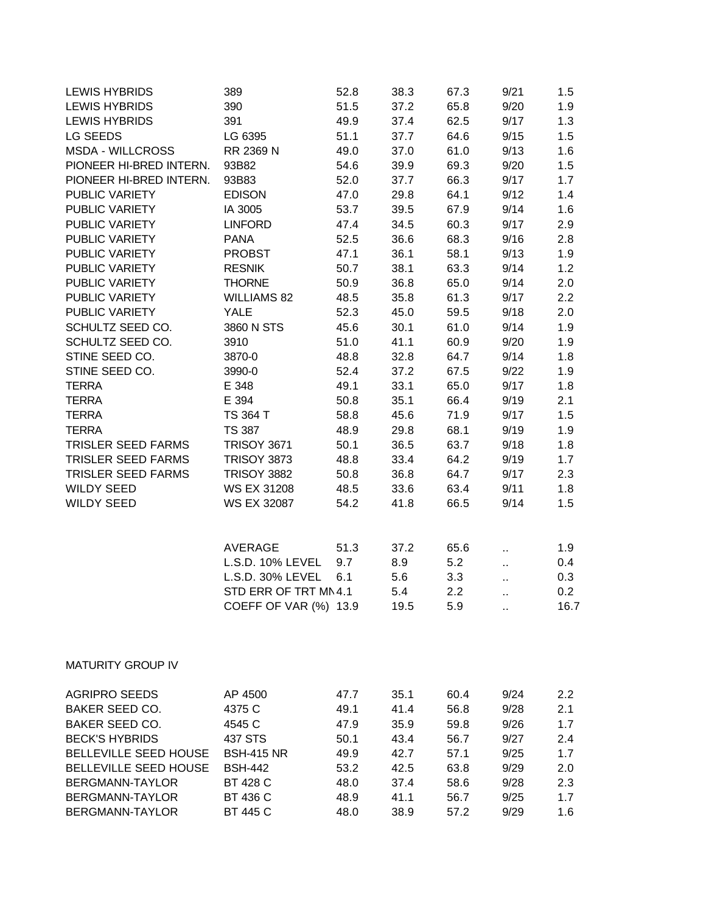| <b>LEWIS HYBRIDS</b>      | 389                   | 52.8         | 38.3         | 67.3         | 9/21         | 1.5        |
|---------------------------|-----------------------|--------------|--------------|--------------|--------------|------------|
| <b>LEWIS HYBRIDS</b>      | 390                   | 51.5         | 37.2         | 65.8         | 9/20         | 1.9        |
| <b>LEWIS HYBRIDS</b>      | 391                   | 49.9         | 37.4         | 62.5         | 9/17         | 1.3        |
| LG SEEDS                  | LG 6395               | 51.1         | 37.7         | 64.6         | 9/15         | 1.5        |
| <b>MSDA - WILLCROSS</b>   | RR 2369 N             | 49.0         | 37.0         | 61.0         | 9/13         | 1.6        |
| PIONEER HI-BRED INTERN.   | 93B82                 | 54.6         | 39.9         | 69.3         | 9/20         | 1.5        |
| PIONEER HI-BRED INTERN.   | 93B83                 | 52.0         | 37.7         | 66.3         | 9/17         | 1.7        |
| PUBLIC VARIETY            | <b>EDISON</b>         | 47.0         | 29.8         | 64.1         | 9/12         | 1.4        |
| PUBLIC VARIETY            | IA 3005               | 53.7         | 39.5         | 67.9         | 9/14         | 1.6        |
| PUBLIC VARIETY            | <b>LINFORD</b>        | 47.4         | 34.5         | 60.3         | 9/17         | 2.9        |
| PUBLIC VARIETY            | <b>PANA</b>           | 52.5         | 36.6         | 68.3         | 9/16         | 2.8        |
| PUBLIC VARIETY            | <b>PROBST</b>         | 47.1         | 36.1         | 58.1         | 9/13         | 1.9        |
| PUBLIC VARIETY            | <b>RESNIK</b>         | 50.7         | 38.1         | 63.3         | 9/14         | 1.2        |
| PUBLIC VARIETY            | <b>THORNE</b>         | 50.9         | 36.8         | 65.0         | 9/14         | 2.0        |
| PUBLIC VARIETY            | <b>WILLIAMS 82</b>    | 48.5         | 35.8         | 61.3         | 9/17         | 2.2        |
| PUBLIC VARIETY            | <b>YALE</b>           | 52.3         | 45.0         | 59.5         | 9/18         | 2.0        |
| SCHULTZ SEED CO.          | 3860 N STS            | 45.6         | 30.1         | 61.0         | 9/14         | 1.9        |
| SCHULTZ SEED CO.          | 3910                  | 51.0         | 41.1         | 60.9         | 9/20         | 1.9        |
| STINE SEED CO.            | 3870-0                | 48.8         | 32.8         | 64.7         | 9/14         | 1.8        |
| STINE SEED CO.            | 3990-0                | 52.4         | 37.2         | 67.5         | 9/22         | 1.9        |
| <b>TERRA</b>              | E 348                 | 49.1         | 33.1         | 65.0         | 9/17         | 1.8        |
| <b>TERRA</b>              | E 394                 | 50.8         | 35.1         | 66.4         | 9/19         | 2.1        |
| <b>TERRA</b>              | TS 364 T              | 58.8         | 45.6         | 71.9         | 9/17         | 1.5        |
| <b>TERRA</b>              | <b>TS 387</b>         | 48.9         | 29.8         | 68.1         | 9/19         | 1.9        |
| <b>TRISLER SEED FARMS</b> | <b>TRISOY 3671</b>    | 50.1         | 36.5         | 63.7         | 9/18         | 1.8        |
| TRISLER SEED FARMS        | <b>TRISOY 3873</b>    | 48.8         | 33.4         | 64.2         | 9/19         | 1.7        |
| TRISLER SEED FARMS        | <b>TRISOY 3882</b>    | 50.8         | 36.8         | 64.7         | 9/17         | 2.3        |
| <b>WILDY SEED</b>         | <b>WS EX 31208</b>    | 48.5         | 33.6         | 63.4         | 9/11         | 1.8        |
| <b>WILDY SEED</b>         | WS EX 32087           | 54.2         | 41.8         | 66.5         | 9/14         | 1.5        |
|                           |                       |              |              |              |              |            |
|                           |                       |              |              |              |              |            |
|                           | <b>AVERAGE</b>        | 51.3         | 37.2         | 65.6         |              | 1.9        |
|                           | L.S.D. 10% LEVEL      | 9.7          | 8.9          | 5.2          | и,           | 0.4        |
|                           | L.S.D. 30% LEVEL      | 6.1          | 5.6          | 3.3          |              | 0.3        |
|                           | STD ERR OF TRT MN 4.1 |              | 5.4          | 2.2          | Ω,           | 0.2        |
|                           | COEFF OF VAR (%) 13.9 |              | 19.5         | 5.9          |              | 16.7       |
|                           |                       |              |              |              |              |            |
|                           |                       |              |              |              |              |            |
|                           |                       |              |              |              |              |            |
| <b>MATURITY GROUP IV</b>  |                       |              |              |              |              |            |
| <b>AGRIPRO SEEDS</b>      |                       |              |              |              |              |            |
| <b>BAKER SEED CO.</b>     | AP 4500<br>4375 C     | 47.7<br>49.1 | 35.1<br>41.4 | 60.4<br>56.8 | 9/24<br>9/28 | 2.2<br>2.1 |
| <b>BAKER SEED CO.</b>     | 4545 C                | 47.9         | 35.9         | 59.8         | 9/26         | 1.7        |
| <b>BECK'S HYBRIDS</b>     | 437 STS               | 50.1         | 43.4         | 56.7         | 9/27         |            |
| BELLEVILLE SEED HOUSE     | <b>BSH-415 NR</b>     | 49.9         | 42.7         | 57.1         | 9/25         | 2.4<br>1.7 |
| BELLEVILLE SEED HOUSE     | <b>BSH-442</b>        |              | 42.5         | 63.8         | 9/29         |            |
| BERGMANN-TAYLOR           | BT 428 C              | 53.2<br>48.0 | 37.4         | 58.6         | 9/28         | 2.0<br>2.3 |
| BERGMANN-TAYLOR           | BT 436 C              | 48.9         | 41.1         | 56.7         | 9/25         | 1.7        |
| BERGMANN-TAYLOR           | BT 445 C              | 48.0         | 38.9         | 57.2         | 9/29         | 1.6        |
|                           |                       |              |              |              |              |            |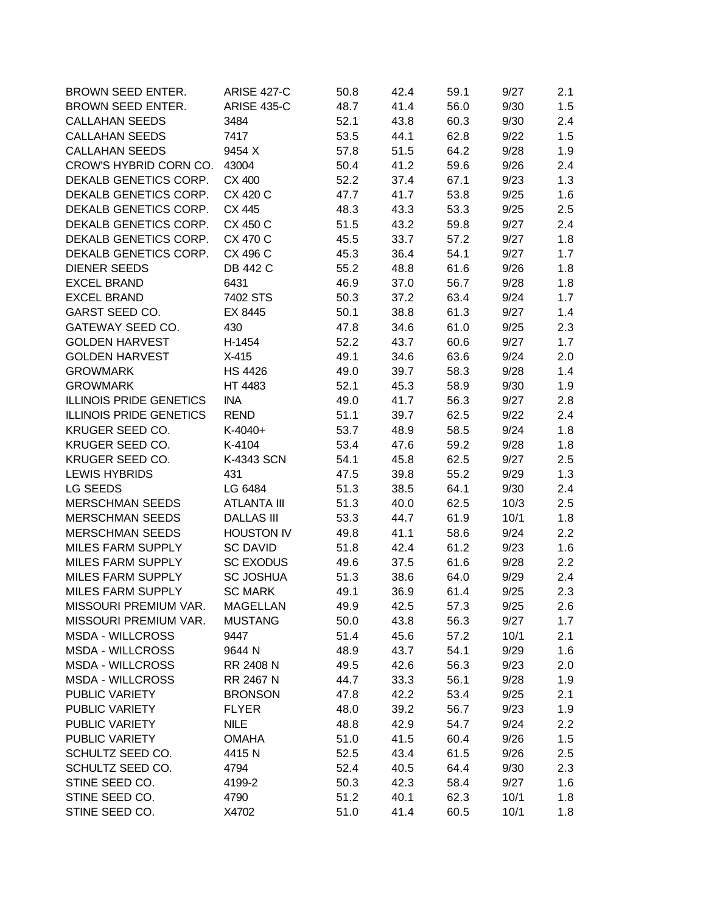| BROWN SEED ENTER.              | <b>ARISE 427-C</b> | 50.8 | 42.4 | 59.1 | 9/27 | 2.1 |
|--------------------------------|--------------------|------|------|------|------|-----|
| BROWN SEED ENTER.              | <b>ARISE 435-C</b> | 48.7 | 41.4 | 56.0 | 9/30 | 1.5 |
| <b>CALLAHAN SEEDS</b>          | 3484               | 52.1 | 43.8 | 60.3 | 9/30 | 2.4 |
| <b>CALLAHAN SEEDS</b>          | 7417               | 53.5 | 44.1 | 62.8 | 9/22 | 1.5 |
| <b>CALLAHAN SEEDS</b>          | 9454 X             | 57.8 | 51.5 | 64.2 | 9/28 | 1.9 |
| CROW'S HYBRID CORN CO.         | 43004              | 50.4 | 41.2 | 59.6 | 9/26 | 2.4 |
| DEKALB GENETICS CORP.          | CX 400             | 52.2 | 37.4 | 67.1 | 9/23 | 1.3 |
| DEKALB GENETICS CORP.          | CX 420 C           | 47.7 | 41.7 | 53.8 | 9/25 | 1.6 |
| DEKALB GENETICS CORP.          | CX 445             | 48.3 | 43.3 | 53.3 | 9/25 | 2.5 |
| DEKALB GENETICS CORP.          | CX 450 C           | 51.5 | 43.2 | 59.8 | 9/27 | 2.4 |
| DEKALB GENETICS CORP.          | CX 470 C           | 45.5 | 33.7 | 57.2 | 9/27 | 1.8 |
| DEKALB GENETICS CORP.          | CX 496 C           | 45.3 | 36.4 | 54.1 | 9/27 | 1.7 |
| <b>DIENER SEEDS</b>            | <b>DB 442 C</b>    | 55.2 | 48.8 | 61.6 | 9/26 | 1.8 |
| <b>EXCEL BRAND</b>             | 6431               | 46.9 | 37.0 | 56.7 | 9/28 | 1.8 |
| <b>EXCEL BRAND</b>             | 7402 STS           | 50.3 | 37.2 | 63.4 | 9/24 | 1.7 |
| <b>GARST SEED CO.</b>          | EX 8445            | 50.1 | 38.8 | 61.3 | 9/27 | 1.4 |
| GATEWAY SEED CO.               | 430                | 47.8 | 34.6 | 61.0 | 9/25 | 2.3 |
| <b>GOLDEN HARVEST</b>          | H-1454             | 52.2 | 43.7 | 60.6 | 9/27 | 1.7 |
| <b>GOLDEN HARVEST</b>          | $X-415$            | 49.1 | 34.6 | 63.6 | 9/24 | 2.0 |
| <b>GROWMARK</b>                | <b>HS 4426</b>     | 49.0 | 39.7 | 58.3 | 9/28 | 1.4 |
| <b>GROWMARK</b>                | HT 4483            | 52.1 | 45.3 | 58.9 | 9/30 | 1.9 |
| <b>ILLINOIS PRIDE GENETICS</b> | <b>INA</b>         | 49.0 | 41.7 | 56.3 | 9/27 | 2.8 |
| <b>ILLINOIS PRIDE GENETICS</b> | <b>REND</b>        | 51.1 | 39.7 | 62.5 | 9/22 | 2.4 |
| KRUGER SEED CO.                | $K-4040+$          | 53.7 | 48.9 | 58.5 | 9/24 | 1.8 |
| KRUGER SEED CO.                | K-4104             | 53.4 | 47.6 | 59.2 | 9/28 | 1.8 |
| KRUGER SEED CO.                | K-4343 SCN         | 54.1 | 45.8 | 62.5 | 9/27 | 2.5 |
| <b>LEWIS HYBRIDS</b>           | 431                | 47.5 | 39.8 | 55.2 | 9/29 | 1.3 |
| LG SEEDS                       | LG 6484            | 51.3 | 38.5 | 64.1 | 9/30 | 2.4 |
| <b>MERSCHMAN SEEDS</b>         | <b>ATLANTA III</b> | 51.3 | 40.0 | 62.5 | 10/3 | 2.5 |
| <b>MERSCHMAN SEEDS</b>         | <b>DALLAS III</b>  | 53.3 | 44.7 | 61.9 | 10/1 | 1.8 |
| <b>MERSCHMAN SEEDS</b>         | <b>HOUSTON IV</b>  | 49.8 | 41.1 | 58.6 | 9/24 | 2.2 |
| MILES FARM SUPPLY              | <b>SC DAVID</b>    |      |      |      |      |     |
| <b>MILES FARM SUPPLY</b>       | <b>SC EXODUS</b>   | 51.8 | 42.4 | 61.2 | 9/23 | 1.6 |
|                                |                    | 49.6 | 37.5 | 61.6 | 9/28 | 2.2 |
| MILES FARM SUPPLY              | <b>SC JOSHUA</b>   | 51.3 | 38.6 | 64.0 | 9/29 | 2.4 |
| MILES FARM SUPPLY              | <b>SC MARK</b>     | 49.1 | 36.9 | 61.4 | 9/25 | 2.3 |
| MISSOURI PREMIUM VAR.          | <b>MAGELLAN</b>    | 49.9 | 42.5 | 57.3 | 9/25 | 2.6 |
| MISSOURI PREMIUM VAR.          | <b>MUSTANG</b>     | 50.0 | 43.8 | 56.3 | 9/27 | 1.7 |
| <b>MSDA - WILLCROSS</b>        | 9447               | 51.4 | 45.6 | 57.2 | 10/1 | 2.1 |
| <b>MSDA - WILLCROSS</b>        | 9644 N             | 48.9 | 43.7 | 54.1 | 9/29 | 1.6 |
| <b>MSDA - WILLCROSS</b>        | RR 2408 N          | 49.5 | 42.6 | 56.3 | 9/23 | 2.0 |
| <b>MSDA - WILLCROSS</b>        | RR 2467 N          | 44.7 | 33.3 | 56.1 | 9/28 | 1.9 |
| PUBLIC VARIETY                 | <b>BRONSON</b>     | 47.8 | 42.2 | 53.4 | 9/25 | 2.1 |
| PUBLIC VARIETY                 | <b>FLYER</b>       | 48.0 | 39.2 | 56.7 | 9/23 | 1.9 |
| PUBLIC VARIETY                 | <b>NILE</b>        | 48.8 | 42.9 | 54.7 | 9/24 | 2.2 |
| PUBLIC VARIETY                 | <b>OMAHA</b>       | 51.0 | 41.5 | 60.4 | 9/26 | 1.5 |
| SCHULTZ SEED CO.               | 4415N              | 52.5 | 43.4 | 61.5 | 9/26 | 2.5 |
| SCHULTZ SEED CO.               | 4794               | 52.4 | 40.5 | 64.4 | 9/30 | 2.3 |
| STINE SEED CO.                 | 4199-2             | 50.3 | 42.3 | 58.4 | 9/27 | 1.6 |
| STINE SEED CO.                 | 4790               | 51.2 | 40.1 | 62.3 | 10/1 | 1.8 |
| STINE SEED CO.                 | X4702              | 51.0 | 41.4 | 60.5 | 10/1 | 1.8 |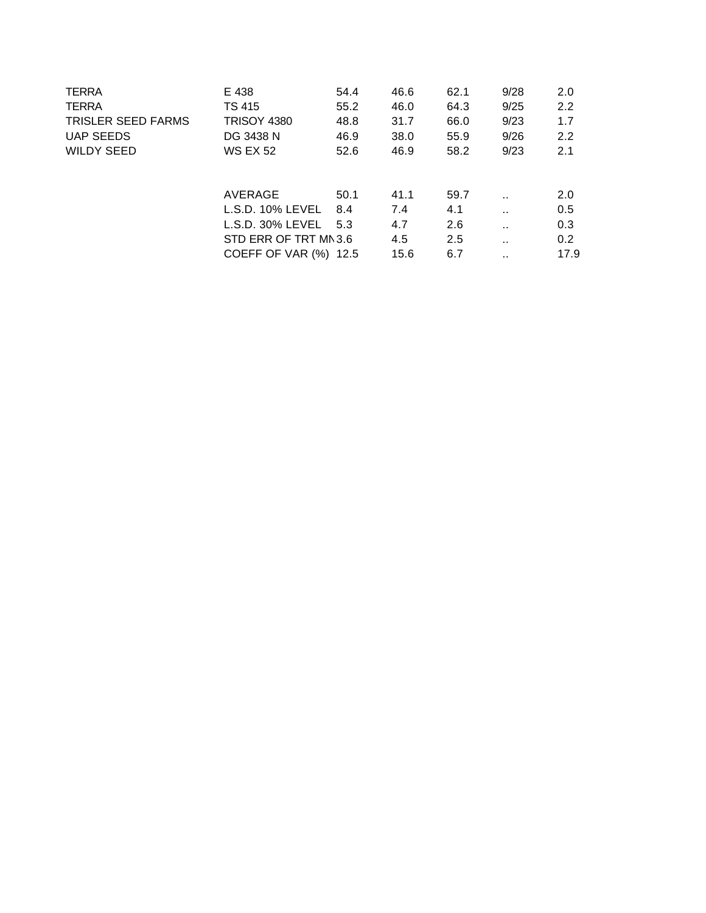| E 438                | 54.4 | 46.6                                                  | 62.1 | 9/28                 | 2.0              |
|----------------------|------|-------------------------------------------------------|------|----------------------|------------------|
| TS 415               | 55.2 | 46.0                                                  | 64.3 | 9/25                 | 2.2              |
| <b>TRISOY 4380</b>   | 48.8 | 31.7                                                  | 66.0 | 9/23                 | 1.7              |
| DG 3438 N            | 46.9 | 38.0                                                  | 55.9 | 9/26                 | 2.2              |
| <b>WS EX 52</b>      | 52.6 | 46.9                                                  | 58.2 | 9/23                 | 2.1              |
|                      |      |                                                       |      |                      |                  |
| AVERAGE              | 50.1 | 41.1                                                  | 59.7 | $\ddot{\phantom{a}}$ | 2.0              |
| $L.S.D.$ 10% $LEVEL$ | 8.4  | 7.4                                                   | 4.1  | $\ddot{\phantom{0}}$ | 0.5              |
| $L.S.D. 30\% LEVEL$  |      | 4.7                                                   | 2.6  | $\ddot{\phantom{0}}$ | 0.3              |
|                      |      | 4.5                                                   | 2.5  | $\ddot{\phantom{0}}$ | 0.2 <sub>0</sub> |
|                      |      | 15.6                                                  | 6.7  | . .                  | 17.9             |
|                      |      | 5.3<br>STD ERR OF TRT MN 3.6<br>COEFF OF VAR (%) 12.5 |      |                      |                  |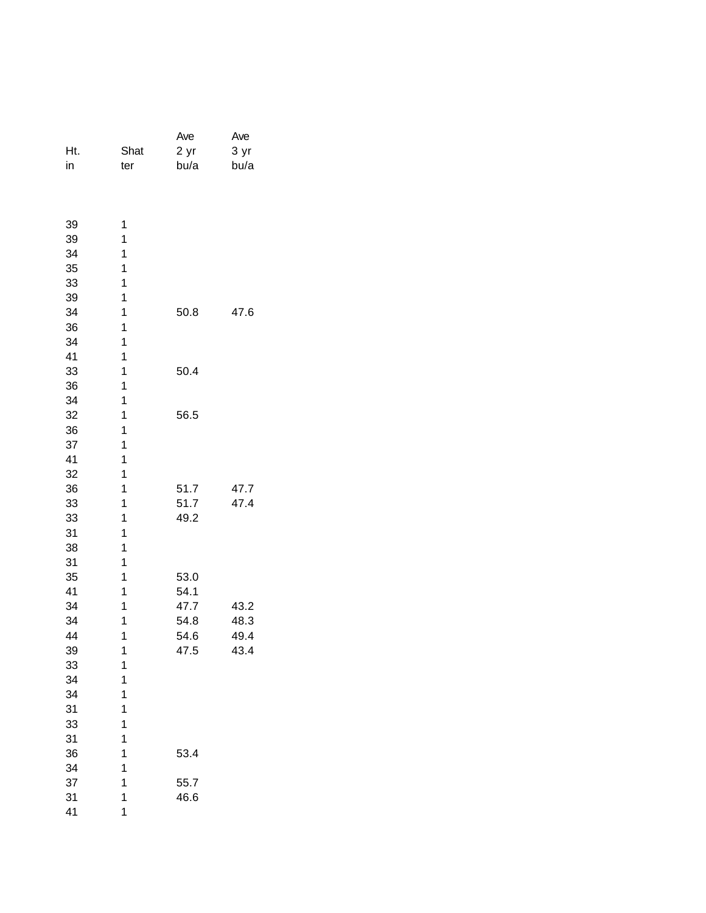|     |      | Ave  | Ave  |
|-----|------|------|------|
| Ht. | Shat | 2 yr | 3 yr |
| in  | ter  | bu/a | bu/a |
|     |      |      |      |
|     |      |      |      |
| 39  | 1    |      |      |
| 39  | 1    |      |      |
| 34  | 1    |      |      |
| 35  | 1    |      |      |
| 33  | 1    |      |      |
| 39  | 1    |      |      |
| 34  | 1    | 50.8 | 47.6 |
| 36  | 1    |      |      |
| 34  | 1    |      |      |
| 41  | 1    |      |      |
| 33  | 1    | 50.4 |      |
| 36  | 1    |      |      |
| 34  | 1    |      |      |
| 32  | 1    | 56.5 |      |
| 36  | 1    |      |      |
| 37  | 1    |      |      |
| 41  | 1    |      |      |
| 32  | 1    |      |      |
| 36  | 1    | 51.7 | 47.7 |
| 33  | 1    | 51.7 | 47.4 |
| 33  | 1    | 49.2 |      |
| 31  | 1    |      |      |
| 38  | 1    |      |      |
| 31  | 1    |      |      |
| 35  | 1    | 53.0 |      |
| 41  | 1    | 54.1 |      |
| 34  | 1    | 47.7 | 43.2 |
| 34  | 1    | 54.8 | 48.3 |
| 44  | 1    | 54.6 | 49.4 |
| 39  | 1    | 47.5 | 43.4 |
| 33  | 1    |      |      |
| 34  | 1    |      |      |
| 34  | 1    |      |      |
| 31  | 1    |      |      |
| 33  | 1    |      |      |
| 31  | 1    |      |      |
| 36  | 1    | 53.4 |      |
| 34  | 1    |      |      |
| 37  | 1    | 55.7 |      |
| 31  | 1    | 46.6 |      |
| 41  | 1    |      |      |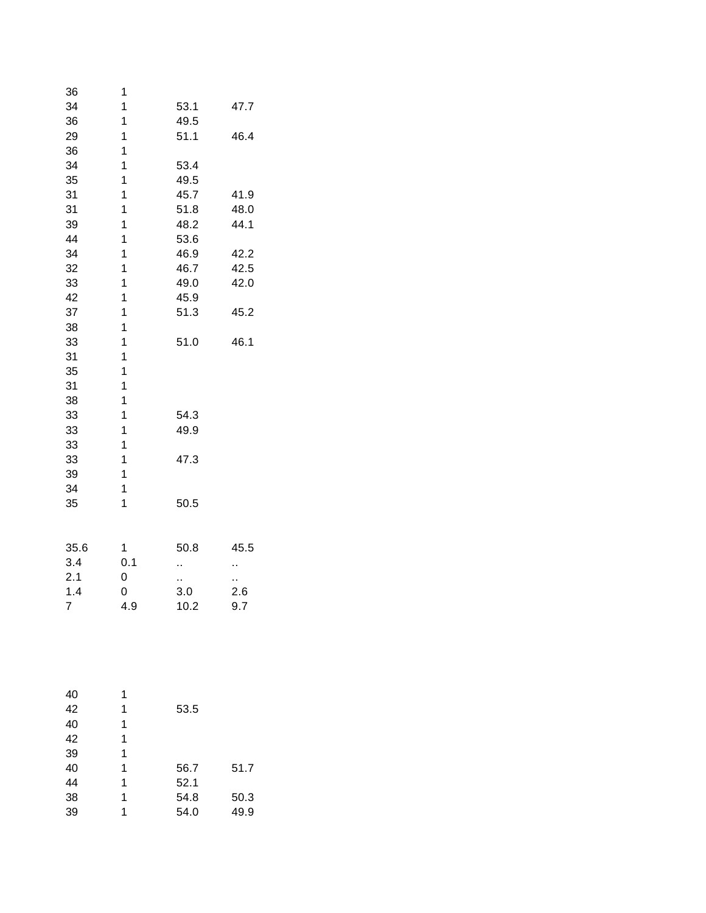| 36             | 1              |      |      |
|----------------|----------------|------|------|
| 34             | 1              | 53.1 | 47.7 |
| 36             | $\overline{1}$ | 49.5 |      |
| 29             | 1              | 51.1 | 46.4 |
| 36             | $\overline{1}$ |      |      |
| 34             | 1              | 53.4 |      |
| 35             | $\mathbf{1}$   | 49.5 |      |
| 31             | 1              | 45.7 | 41.9 |
| 31             | 1              | 51.8 | 48.0 |
| 39             | 1              | 48.2 | 44.1 |
| 44             | 1              | 53.6 |      |
| 34             | $\mathbf{1}$   | 46.9 | 42.2 |
| 32             | 1              | 46.7 | 42.5 |
| 33             | 1              | 49.0 | 42.0 |
| 42             | 1              | 45.9 |      |
| 37             | $\mathbf{1}$   | 51.3 | 45.2 |
| 38             | 1              |      |      |
| 33             | 1              | 51.0 | 46.1 |
| 31             | 1              |      |      |
| 35             | 1              |      |      |
| 31             | $\mathbf{1}$   |      |      |
| 38             | 1              |      |      |
| 33             | 1              | 54.3 |      |
| 33             | 1              | 49.9 |      |
| 33             | $\mathbf{1}$   |      |      |
| 33             | 1              | 47.3 |      |
| 39             | 1              |      |      |
| 34             | 1              |      |      |
| 35             | 1              | 50.5 |      |
|                |                |      |      |
| 35.6           | 1              | 50.8 | 45.5 |
| 3.4            | 0.1            |      | ٠.   |
| 2.1            | 0              | Ω,   | н,   |
| 1.4            | 0              | 3.0  | 2.6  |
| $\overline{7}$ | 4.9            | 10.2 | 9.7  |

| 40 | 1 |      |      |
|----|---|------|------|
| 42 | 1 | 53.5 |      |
| 40 | 1 |      |      |
| 42 | 1 |      |      |
| 39 | 1 |      |      |
| 40 | 1 | 56.7 | 51.7 |
| 44 | 1 | 52.1 |      |
| 38 | 1 | 54.8 | 50.3 |
| 39 | 1 | 54.0 | 49.9 |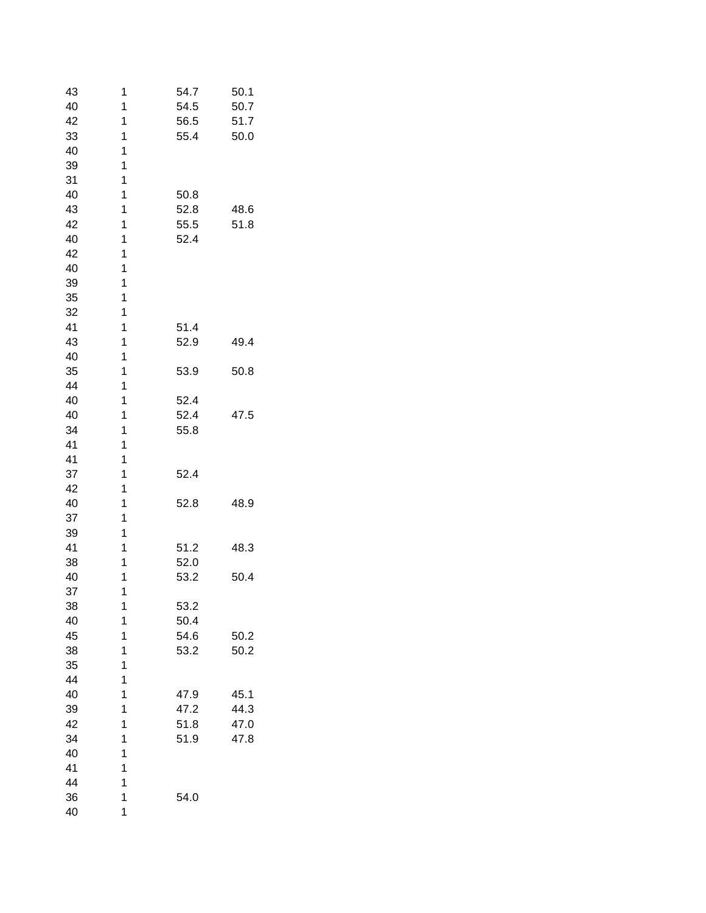| 43 | 1 | 54.7 | 50.1 |
|----|---|------|------|
| 40 | 1 | 54.5 | 50.7 |
| 42 | 1 | 56.5 | 51.7 |
| 33 | 1 | 55.4 | 50.0 |
| 40 | 1 |      |      |
| 39 | 1 |      |      |
| 31 | 1 |      |      |
| 40 | 1 | 50.8 |      |
| 43 | 1 | 52.8 | 48.6 |
| 42 | 1 | 55.5 | 51.8 |
| 40 | 1 | 52.4 |      |
| 42 | 1 |      |      |
| 40 | 1 |      |      |
| 39 | 1 |      |      |
| 35 | 1 |      |      |
| 32 | 1 |      |      |
| 41 | 1 | 51.4 |      |
| 43 | 1 | 52.9 | 49.4 |
| 40 | 1 |      |      |
| 35 | 1 | 53.9 | 50.8 |
| 44 | 1 |      |      |
| 40 | 1 | 52.4 |      |
| 40 | 1 | 52.4 | 47.5 |
| 34 | 1 | 55.8 |      |
| 41 | 1 |      |      |
| 41 | 1 |      |      |
| 37 | 1 | 52.4 |      |
| 42 | 1 |      |      |
| 40 | 1 | 52.8 | 48.9 |
| 37 | 1 |      |      |
| 39 | 1 |      |      |
|    | 1 |      |      |
| 41 | 1 | 51.2 | 48.3 |
| 38 |   | 52.0 |      |
| 40 | 1 | 53.2 | 50.4 |
| 37 | 1 |      |      |
| 38 | 1 | 53.2 |      |
| 40 | 1 | 50.4 |      |
| 45 | 1 | 54.6 | 50.2 |
| 38 | 1 | 53.2 | 50.2 |
| 35 | 1 |      |      |
| 44 | 1 |      |      |
| 40 | 1 | 47.9 | 45.1 |
| 39 | 1 | 47.2 | 44.3 |
| 42 | 1 | 51.8 | 47.0 |
| 34 | 1 | 51.9 | 47.8 |
| 40 | 1 |      |      |
| 41 | 1 |      |      |
| 44 | 1 |      |      |
| 36 | 1 | 54.0 |      |
| 40 | 1 |      |      |